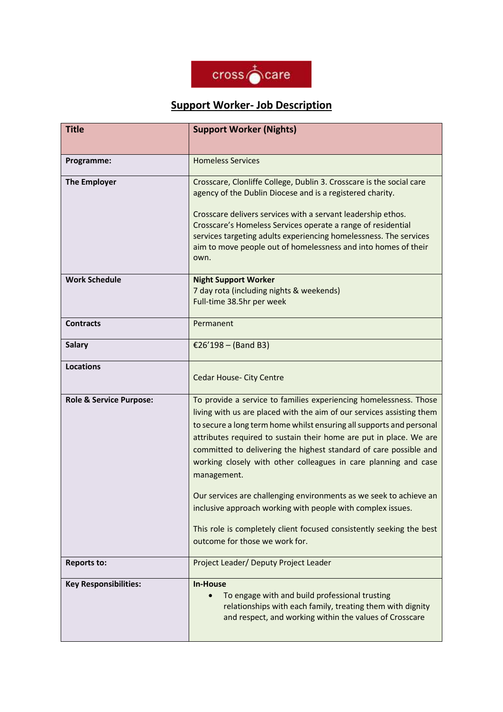

## **Support Worker- Job Description**

| <b>Title</b>                       | <b>Support Worker (Nights)</b>                                                                                                                                                                                                                                                                                                                                                                                                                                                                                                                                                                                                                                                                 |
|------------------------------------|------------------------------------------------------------------------------------------------------------------------------------------------------------------------------------------------------------------------------------------------------------------------------------------------------------------------------------------------------------------------------------------------------------------------------------------------------------------------------------------------------------------------------------------------------------------------------------------------------------------------------------------------------------------------------------------------|
| Programme:                         | <b>Homeless Services</b>                                                                                                                                                                                                                                                                                                                                                                                                                                                                                                                                                                                                                                                                       |
| <b>The Employer</b>                | Crosscare, Clonliffe College, Dublin 3. Crosscare is the social care<br>agency of the Dublin Diocese and is a registered charity.<br>Crosscare delivers services with a servant leadership ethos.<br>Crosscare's Homeless Services operate a range of residential<br>services targeting adults experiencing homelessness. The services<br>aim to move people out of homelessness and into homes of their<br>own.                                                                                                                                                                                                                                                                               |
| <b>Work Schedule</b>               | <b>Night Support Worker</b><br>7 day rota (including nights & weekends)<br>Full-time 38.5hr per week                                                                                                                                                                                                                                                                                                                                                                                                                                                                                                                                                                                           |
| <b>Contracts</b>                   | Permanent                                                                                                                                                                                                                                                                                                                                                                                                                                                                                                                                                                                                                                                                                      |
| <b>Salary</b>                      | €26'198 – (Band B3)                                                                                                                                                                                                                                                                                                                                                                                                                                                                                                                                                                                                                                                                            |
| <b>Locations</b>                   | Cedar House- City Centre                                                                                                                                                                                                                                                                                                                                                                                                                                                                                                                                                                                                                                                                       |
| <b>Role &amp; Service Purpose:</b> | To provide a service to families experiencing homelessness. Those<br>living with us are placed with the aim of our services assisting them<br>to secure a long term home whilst ensuring all supports and personal<br>attributes required to sustain their home are put in place. We are<br>committed to delivering the highest standard of care possible and<br>working closely with other colleagues in care planning and case<br>management.<br>Our services are challenging environments as we seek to achieve an<br>inclusive approach working with people with complex issues.<br>This role is completely client focused consistently seeking the best<br>outcome for those we work for. |
| <b>Reports to:</b>                 | Project Leader/ Deputy Project Leader                                                                                                                                                                                                                                                                                                                                                                                                                                                                                                                                                                                                                                                          |
| <b>Key Responsibilities:</b>       | <b>In-House</b><br>To engage with and build professional trusting<br>relationships with each family, treating them with dignity<br>and respect, and working within the values of Crosscare                                                                                                                                                                                                                                                                                                                                                                                                                                                                                                     |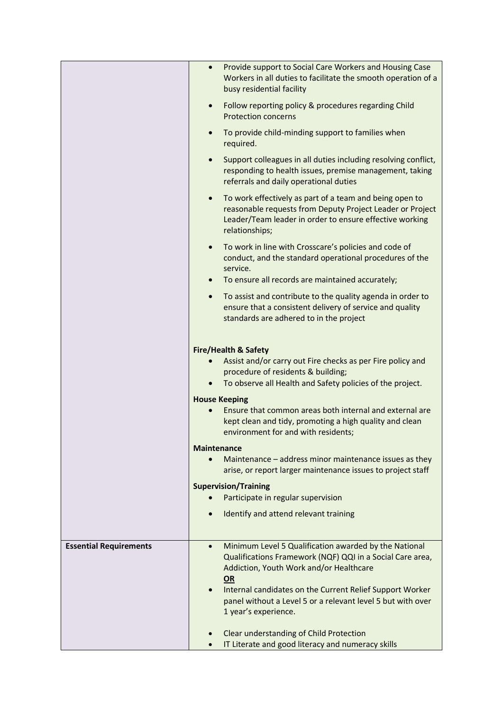|                               | Provide support to Social Care Workers and Housing Case<br>$\bullet$<br>Workers in all duties to facilitate the smooth operation of a<br>busy residential facility                                             |
|-------------------------------|----------------------------------------------------------------------------------------------------------------------------------------------------------------------------------------------------------------|
|                               | Follow reporting policy & procedures regarding Child<br>$\bullet$<br><b>Protection concerns</b>                                                                                                                |
|                               | To provide child-minding support to families when<br>required.                                                                                                                                                 |
|                               | Support colleagues in all duties including resolving conflict,<br>$\bullet$<br>responding to health issues, premise management, taking<br>referrals and daily operational duties                               |
|                               | To work effectively as part of a team and being open to<br>$\bullet$<br>reasonable requests from Deputy Project Leader or Project<br>Leader/Team leader in order to ensure effective working<br>relationships; |
|                               | To work in line with Crosscare's policies and code of<br>conduct, and the standard operational procedures of the<br>service.                                                                                   |
|                               | To ensure all records are maintained accurately;                                                                                                                                                               |
|                               | To assist and contribute to the quality agenda in order to<br>$\bullet$<br>ensure that a consistent delivery of service and quality<br>standards are adhered to in the project                                 |
|                               |                                                                                                                                                                                                                |
|                               | <b>Fire/Health &amp; Safety</b><br>Assist and/or carry out Fire checks as per Fire policy and<br>procedure of residents & building;                                                                            |
|                               | To observe all Health and Safety policies of the project.                                                                                                                                                      |
|                               | <b>House Keeping</b>                                                                                                                                                                                           |
|                               | Ensure that common areas both internal and external are<br>kept clean and tidy, promoting a high quality and clean<br>environment for and with residents;                                                      |
|                               | <b>Maintenance</b>                                                                                                                                                                                             |
|                               | Maintenance - address minor maintenance issues as they<br>arise, or report larger maintenance issues to project staff                                                                                          |
|                               | <b>Supervision/Training</b>                                                                                                                                                                                    |
|                               | Participate in regular supervision                                                                                                                                                                             |
|                               | Identify and attend relevant training<br>$\bullet$                                                                                                                                                             |
| <b>Essential Requirements</b> | Minimum Level 5 Qualification awarded by the National<br>Qualifications Framework (NQF) QQI in a Social Care area,<br>Addiction, Youth Work and/or Healthcare<br>OR                                            |
|                               | Internal candidates on the Current Relief Support Worker<br>$\bullet$<br>panel without a Level 5 or a relevant level 5 but with over<br>1 year's experience.                                                   |
|                               | Clear understanding of Child Protection<br>IT Literate and good literacy and numeracy skills                                                                                                                   |